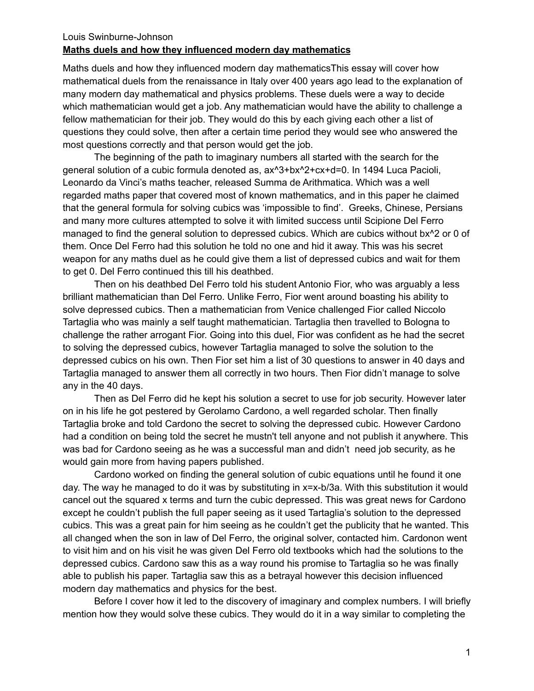## Louis Swinburne-Johnson **Maths duels and how they influenced modern day mathematics**

Maths duels and how they influenced modern day mathematicsThis essay will cover how mathematical duels from the renaissance in Italy over 400 years ago lead to the explanation of many modern day mathematical and physics problems. These duels were a way to decide which mathematician would get a job. Any mathematician would have the ability to challenge a fellow mathematician for their job. They would do this by each giving each other a list of questions they could solve, then after a certain time period they would see who answered the most questions correctly and that person would get the job.

The beginning of the path to imaginary numbers all started with the search for the general solution of a cubic formula denoted as, ax^3+bx^2+cx+d=0. In 1494 Luca Pacioli, Leonardo da Vinci's maths teacher, released Summa de Arithmatica. Which was a well regarded maths paper that covered most of known mathematics, and in this paper he claimed that the general formula for solving cubics was 'impossible to find'. Greeks, Chinese, Persians and many more cultures attempted to solve it with limited success until Scipione Del Ferro managed to find the general solution to depressed cubics. Which are cubics without bx^2 or 0 of them. Once Del Ferro had this solution he told no one and hid it away. This was his secret weapon for any maths duel as he could give them a list of depressed cubics and wait for them to get 0. Del Ferro continued this till his deathbed.

Then on his deathbed Del Ferro told his student Antonio Fior, who was arguably a less brilliant mathematician than Del Ferro. Unlike Ferro, Fior went around boasting his ability to solve depressed cubics. Then a mathematician from Venice challenged Fior called Niccolo Tartaglia who was mainly a self taught mathematician. Tartaglia then travelled to Bologna to challenge the rather arrogant Fior. Going into this duel, Fior was confident as he had the secret to solving the depressed cubics, however Tartaglia managed to solve the solution to the depressed cubics on his own. Then Fior set him a list of 30 questions to answer in 40 days and Tartaglia managed to answer them all correctly in two hours. Then Fior didn't manage to solve any in the 40 days.

Then as Del Ferro did he kept his solution a secret to use for job security. However later on in his life he got pestered by Gerolamo Cardono, a well regarded scholar. Then finally Tartaglia broke and told Cardono the secret to solving the depressed cubic. However Cardono had a condition on being told the secret he mustn't tell anyone and not publish it anywhere. This was bad for Cardono seeing as he was a successful man and didn't need job security, as he would gain more from having papers published.

Cardono worked on finding the general solution of cubic equations until he found it one day. The way he managed to do it was by substituting in x=x-b/3a. With this substitution it would cancel out the squared x terms and turn the cubic depressed. This was great news for Cardono except he couldn't publish the full paper seeing as it used Tartaglia's solution to the depressed cubics. This was a great pain for him seeing as he couldn't get the publicity that he wanted. This all changed when the son in law of Del Ferro, the original solver, contacted him. Cardonon went to visit him and on his visit he was given Del Ferro old textbooks which had the solutions to the depressed cubics. Cardono saw this as a way round his promise to Tartaglia so he was finally able to publish his paper. Tartaglia saw this as a betrayal however this decision influenced modern day mathematics and physics for the best.

Before I cover how it led to the discovery of imaginary and complex numbers. I will briefly mention how they would solve these cubics. They would do it in a way similar to completing the